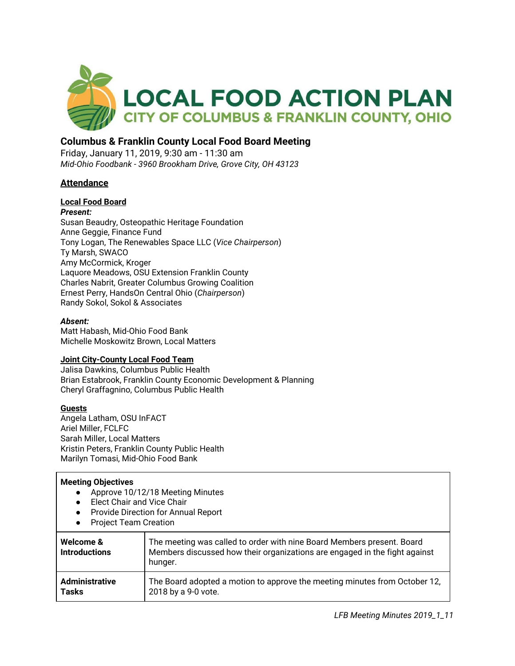

# **Columbus & Franklin County Local Food Board Meeting**

Friday, January 11, 2019, 9:30 am - 11:30 am *Mid-Ohio Foodbank - 3960 Brookham Drive, Grove City, OH 43123*

### **Attendance**

### **Local Food Board**

*Present:* Susan Beaudry, Osteopathic Heritage Foundation

Anne Geggie, Finance Fund Tony Logan, The Renewables Space LLC (*Vice Chairperson*) Ty Marsh, SWACO Amy McCormick, Kroger Laquore Meadows, OSU Extension Franklin County Charles Nabrit, Greater Columbus Growing Coalition Ernest Perry, HandsOn Central Ohio (*Chairperson*) Randy Sokol, Sokol & Associates

#### *Absent:*

Matt Habash, Mid-Ohio Food Bank Michelle Moskowitz Brown, Local Matters

#### **Joint City-County Local Food Team**

Jalisa Dawkins, Columbus Public Health Brian Estabrook, Franklin County Economic Development & Planning Cheryl Graffagnino, Columbus Public Health

#### **Guests**

Angela Latham, OSU InFACT Ariel Miller, FCLFC Sarah Miller, Local Matters Kristin Peters, Franklin County Public Health Marilyn Tomasi, Mid-Ohio Food Bank

#### **Meeting Objectives**

- Approve 10/12/18 Meeting Minutes
- Elect Chair and Vice Chair
- Provide Direction for Annual Report
- Project Team Creation

| Welcome &<br><b>Introductions</b> | The meeting was called to order with nine Board Members present. Board<br>Members discussed how their organizations are engaged in the fight against<br>hunger. |
|-----------------------------------|-----------------------------------------------------------------------------------------------------------------------------------------------------------------|
| <b>Administrative</b>             | The Board adopted a motion to approve the meeting minutes from October 12,                                                                                      |
| <b>Tasks</b>                      | 2018 by a 9-0 vote.                                                                                                                                             |